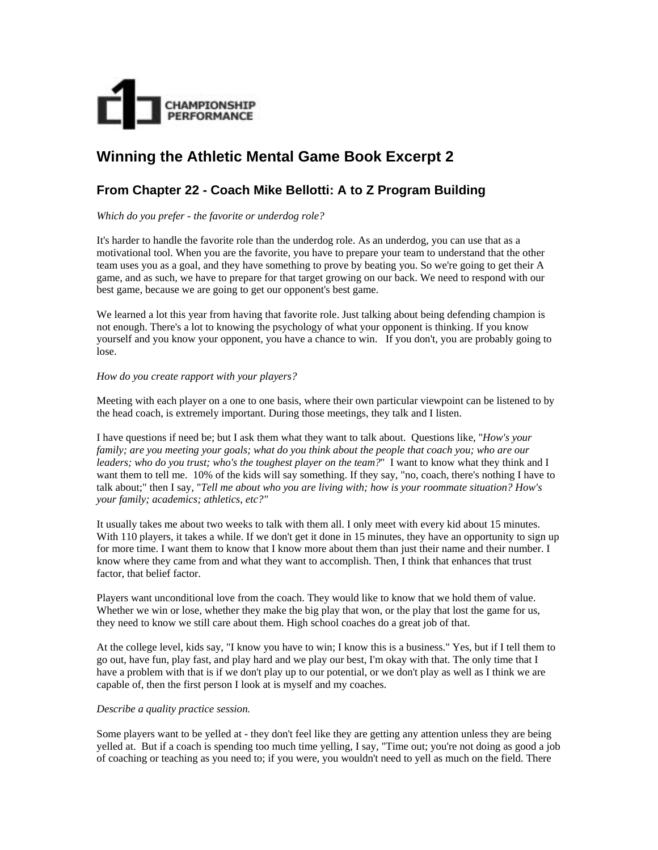

## **Winning the Athletic Mental Game Book Excerpt 2**

## **From Chapter 22 - Coach Mike Bellotti: A to Z Program Building**

*Which do you prefer - the favorite or underdog role?*

It's harder to handle the favorite role than the underdog role. As an underdog, you can use that as a motivational tool. When you are the favorite, you have to prepare your team to understand that the other team uses you as a goal, and they have something to prove by beating you. So we're going to get their A game, and as such, we have to prepare for that target growing on our back. We need to respond with our best game, because we are going to get our opponent's best game.

We learned a lot this year from having that favorite role. Just talking about being defending champion is not enough. There's a lot to knowing the psychology of what your opponent is thinking. If you know yourself and you know your opponent, you have a chance to win. If you don't, you are probably going to lose.

## *How do you create rapport with your players?*

Meeting with each player on a one to one basis, where their own particular viewpoint can be listened to by the head coach, is extremely important. During those meetings, they talk and I listen.

I have questions if need be; but I ask them what they want to talk about. Questions like, "*How's your family; are you meeting your goals; what do you think about the people that coach you; who are our leaders; who do you trust; who's the toughest player on the team?*" I want to know what they think and I want them to tell me. 10% of the kids will say something. If they say, "no, coach, there's nothing I have to talk about;" then I say, "*Tell me about who you are living with; how is your roommate situation? How's your family; academics; athletics, etc?"*

It usually takes me about two weeks to talk with them all. I only meet with every kid about 15 minutes. With 110 players, it takes a while. If we don't get it done in 15 minutes, they have an opportunity to sign up for more time. I want them to know that I know more about them than just their name and their number. I know where they came from and what they want to accomplish. Then, I think that enhances that trust factor, that belief factor.

Players want unconditional love from the coach. They would like to know that we hold them of value. Whether we win or lose, whether they make the big play that won, or the play that lost the game for us, they need to know we still care about them. High school coaches do a great job of that.

At the college level, kids say, "I know you have to win; I know this is a business." Yes, but if I tell them to go out, have fun, play fast, and play hard and we play our best, I'm okay with that. The only time that I have a problem with that is if we don't play up to our potential, or we don't play as well as I think we are capable of, then the first person I look at is myself and my coaches.

## *Describe a quality practice session.*

Some players want to be yelled at - they don't feel like they are getting any attention unless they are being yelled at. But if a coach is spending too much time yelling, I say, "Time out; you're not doing as good a job of coaching or teaching as you need to; if you were, you wouldn't need to yell as much on the field. There